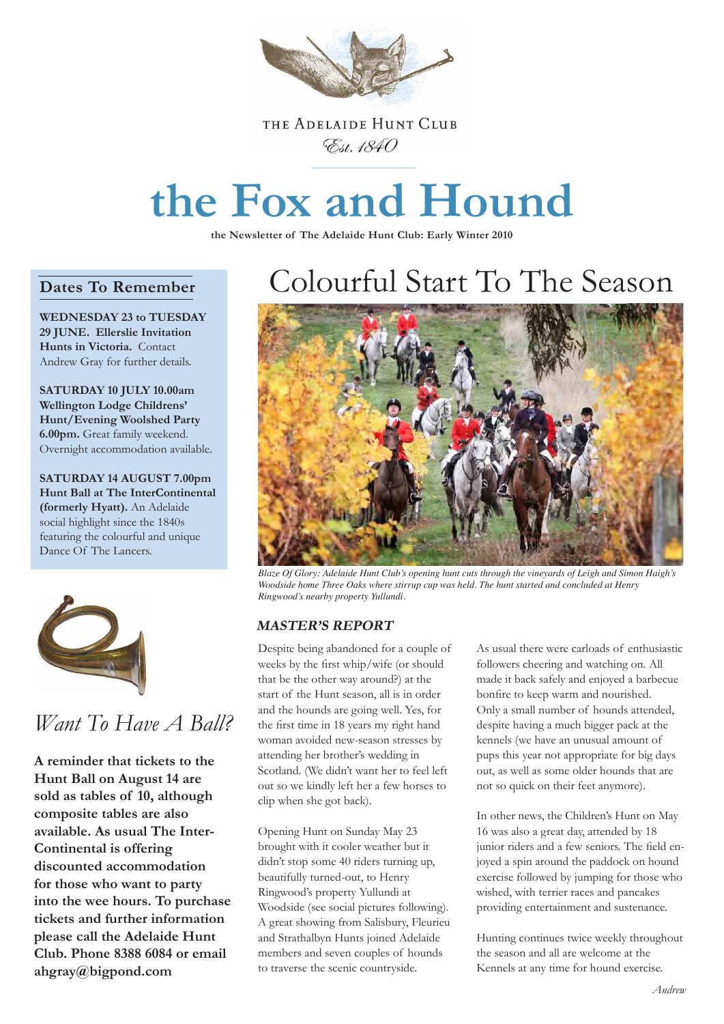

### THE ADELAIDE HUNT CLUB Est. 1840

# **the Fox and Hound**

**the Newsletter of The Adelaide Hunt Club: Early Winter 2010**

### **Dates To Remember**

**WEDNESDAY 23 to TUESDAY 29 JUNE. Ellerslie Invitation Hunts in Victoria.** Contact Andrew Gray for further details.

**SATURDAY 10 JULY 10.00am Wellington Lodge Childrens' Hunt/Evening Woolshed Party 6.00pm.** Great family weekend. Overnight accommodation available.

**SATURDAY 14 AUGUST 7.00pm Hunt Ball at The InterContinental (formerly Hyatt).** An Adelaide social highlight since the 1840s featuring the colourful and unique Dance Of The Lancers.



### *Want To Have A Ball?*

**A reminder that tickets to the Hunt Ball on August 14 are sold as tables of 10, although composite tables are also available. As usual The Inter-Continental is offering discounted accommodation for those who want to party into the wee hours. To purchase tickets and further information please call the Adelaide Hunt Club. Phone 8388 6084 or email ahgray@bigpond.com**

## Colourful Start To The Season



*Blaze Of Glory: Adelaide Hunt Club's opening hunt cuts through the vineyards of Leigh and Simon Haigh's Woodside home Three Oaks where stirrup cup was held. The hunt started and concluded at Henry Ringwood's nearby property Yullundi.* 

### **MASTER'S REPORT**

Despite being abandoned for a couple of weeks by the first whip/wife (or should that be the other way around?) at the start of the Hunt season, all is in order and the hounds are going well. Yes, for the first time in 18 years my right hand woman avoided new-season stresses by attending her brother's wedding in Scotland. (We didn't want her to feel left out so we kindly left her a few horses to clip when she got back).

Opening Hunt on Sunday May 23 brought with it cooler weather but it didn't stop some 40 riders turning up, beautifully turned-out, to Henry Ringwood's property Yullundi at Woodside (see social pictures following). A great showing from Salisbury, Fleurieu and Strathalbyn Hunts joined Adelaide members and seven couples of hounds to traverse the scenic countryside.

As usual there were carloads of enthusiastic followers cheering and watching on. All made it back safely and enjoyed a barbecue bonfire to keep warm and nourished. Only a small number of hounds attended, despite having a much bigger pack at the kennels (we have an unusual amount of pups this year not appropriate for big days out, as well as some older hounds that are not so quick on their feet anymore).

In other news, the Children's Hunt on May 16 was also a great day, attended by 18 junior riders and a few seniors. The field enjoyed a spin around the paddock on hound exercise followed by jumping for those who wished, with terrier races and pancakes providing entertainment and sustenance.

Hunting continues twice weekly throughout the season and all are welcome at the Kennels at any time for hound exercise.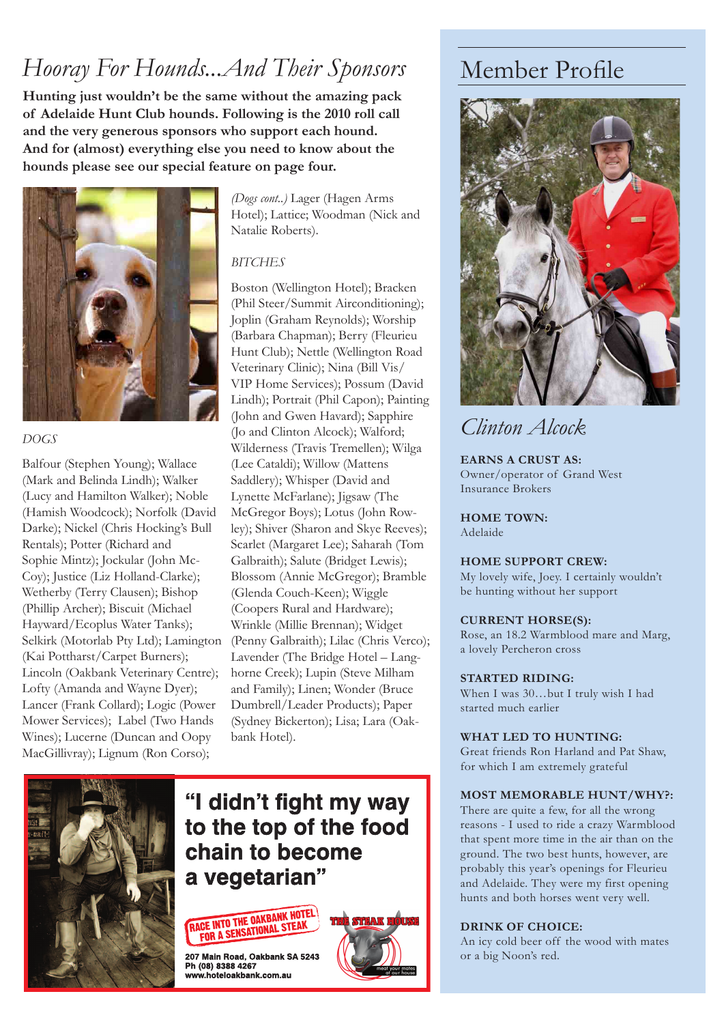### *Hooray For Hounds...And Their Sponsors*

**Hunting just wouldn't be the same without the amazing pack of Adelaide Hunt Club hounds. Following is the 2010 roll call and the very generous sponsors who support each hound. And for (almost) everything else you need to know about the hounds please see our special feature on page four.**



### *DOGS*

Balfour (Stephen Young); Wallace (Mark and Belinda Lindh); Walker (Lucy and Hamilton Walker); Noble (Hamish Woodcock); Norfolk (David Darke); Nickel (Chris Hocking's Bull Rentals); Potter (Richard and Sophie Mintz); Jockular (John Mc-Coy); Justice (Liz Holland-Clarke); Wetherby (Terry Clausen); Bishop (Phillip Archer); Biscuit (Michael Hayward/Ecoplus Water Tanks); Selkirk (Motorlab Pty Ltd); Lamington (Kai Pottharst/Carpet Burners); Lincoln (Oakbank Veterinary Centre); Lofty (Amanda and Wayne Dyer); Lancer (Frank Collard); Logic (Power Mower Services); Label (Two Hands Wines); Lucerne (Duncan and Oopy MacGillivray); Lignum (Ron Corso);

*(Dogs cont..)* Lager (Hagen Arms Hotel); Lattice; Woodman (Nick and Natalie Roberts).

### *BITCHES*

Boston (Wellington Hotel); Bracken (Phil Steer/Summit Airconditioning); Joplin (Graham Reynolds); Worship (Barbara Chapman); Berry (Fleurieu Hunt Club); Nettle (Wellington Road Veterinary Clinic); Nina (Bill Vis/ VIP Home Services); Possum (David Lindh); Portrait (Phil Capon); Painting (John and Gwen Havard); Sapphire (Jo and Clinton Alcock); Walford; Wilderness (Travis Tremellen); Wilga (Lee Cataldi); Willow (Mattens Saddlery); Whisper (David and Lynette McFarlane); Jigsaw (The McGregor Boys); Lotus (John Rowley); Shiver (Sharon and Skye Reeves); Scarlet (Margaret Lee); Saharah (Tom Galbraith); Salute (Bridget Lewis); Blossom (Annie McGregor); Bramble (Glenda Couch-Keen); Wiggle (Coopers Rural and Hardware); Wrinkle (Millie Brennan); Widget (Penny Galbraith); Lilac (Chris Verco); Lavender (The Bridge Hotel – Langhorne Creek); Lupin (Steve Milham and Family); Linen; Wonder (Bruce Dumbrell/Leader Products); Paper (Sydney Bickerton); Lisa; Lara (Oakbank Hotel).



### "I didn't fight my way to the top of the food chain to become a vegetarian"



207 Main Road, Oakbank SA 5243 Ph (08) 8388 4267 www.hoteloakbank.com.au



### Member Profile



### *Clinton Alcock*

**EARNS A CRUST AS:** Owner/operator of Grand West Insurance Brokers

**HOME TOWN:**  Adelaide

#### **HOME SUPPORT CREW:**

My lovely wife, Joey. I certainly wouldn't be hunting without her support

#### **CURRENT HORSE(S):**

Rose, an 18.2 Warmblood mare and Marg, a lovely Percheron cross

#### **STARTED RIDING:**

When I was 30…but I truly wish I had started much earlier

#### **WHAT LED TO HUNTING:**

Great friends Ron Harland and Pat Shaw, for which I am extremely grateful

#### **MOST MEMORABLE HUNT/WHY?:**

There are quite a few, for all the wrong reasons - I used to ride a crazy Warmblood that spent more time in the air than on the ground. The two best hunts, however, are probably this year's openings for Fleurieu and Adelaide. They were my first opening hunts and both horses went very well.

#### **DRINK OF CHOICE:**

An icy cold beer off the wood with mates or a big Noon's red.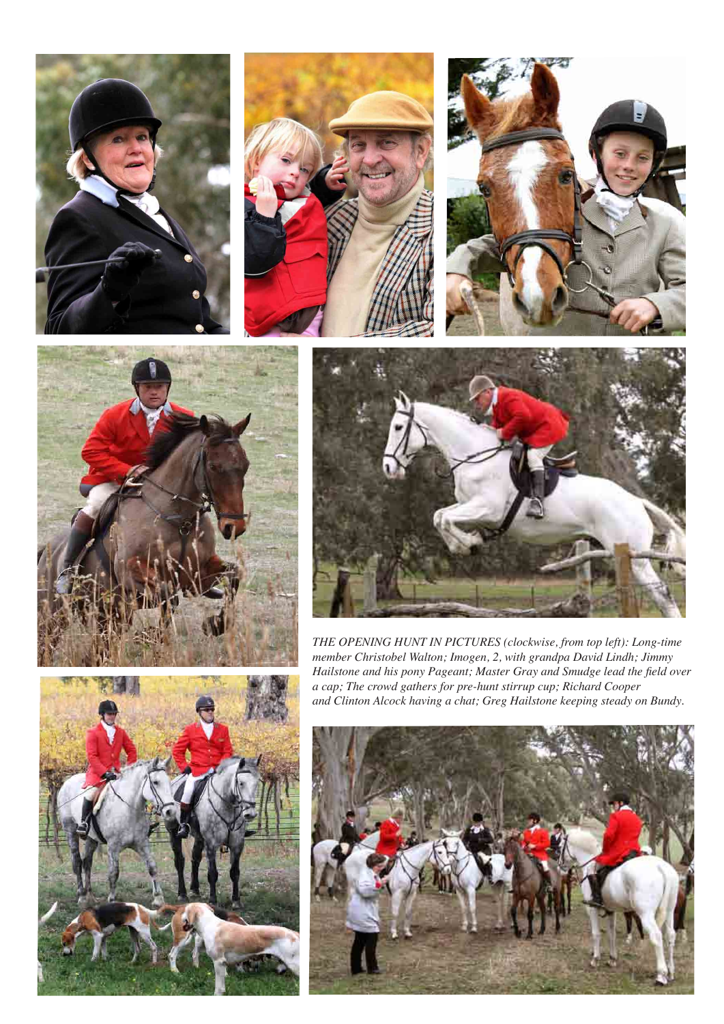









*THE OPENING HUNT IN PICTURES (clockwise, from top left): Long-time member Christobel Walton; Imogen, 2, with grandpa David Lindh; Jimmy Hailstone and his pony Pageant; Master Gray and Smudge lead the field over a cap; The crowd gathers for pre-hunt stirrup cup; Richard Cooper and Clinton Alcock having a chat; Greg Hailstone keeping steady on Bundy.*